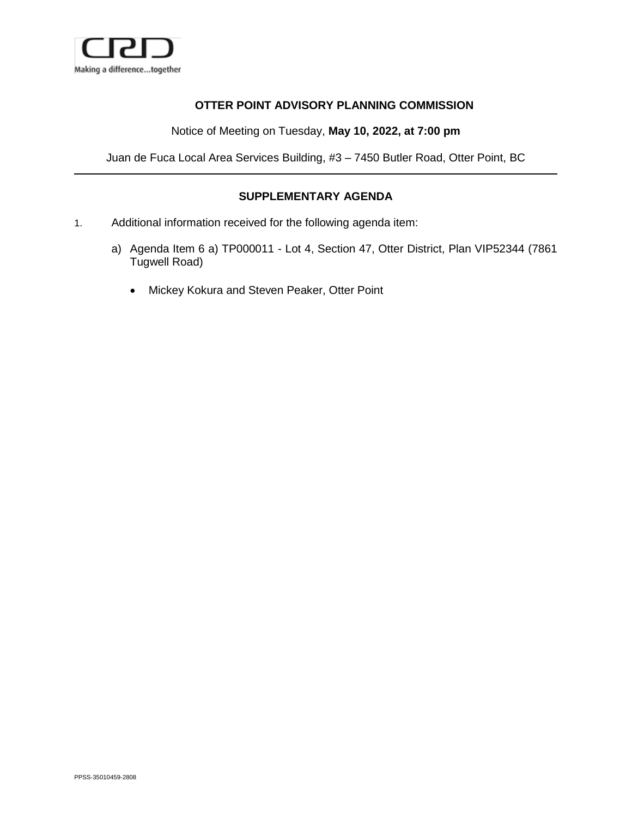

## **OTTER POINT ADVISORY PLANNING COMMISSION**

Notice of Meeting on Tuesday, **May 10, 2022, at 7:00 pm**

Juan de Fuca Local Area Services Building, #3 – 7450 Butler Road, Otter Point, BC

## **SUPPLEMENTARY AGENDA**

- 1. Additional information received for the following agenda item:
	- a) Agenda Item 6 a) TP000011 Lot 4, Section 47, Otter District, Plan VIP52344 (7861 Tugwell Road)
		- Mickey Kokura and Steven Peaker, Otter Point